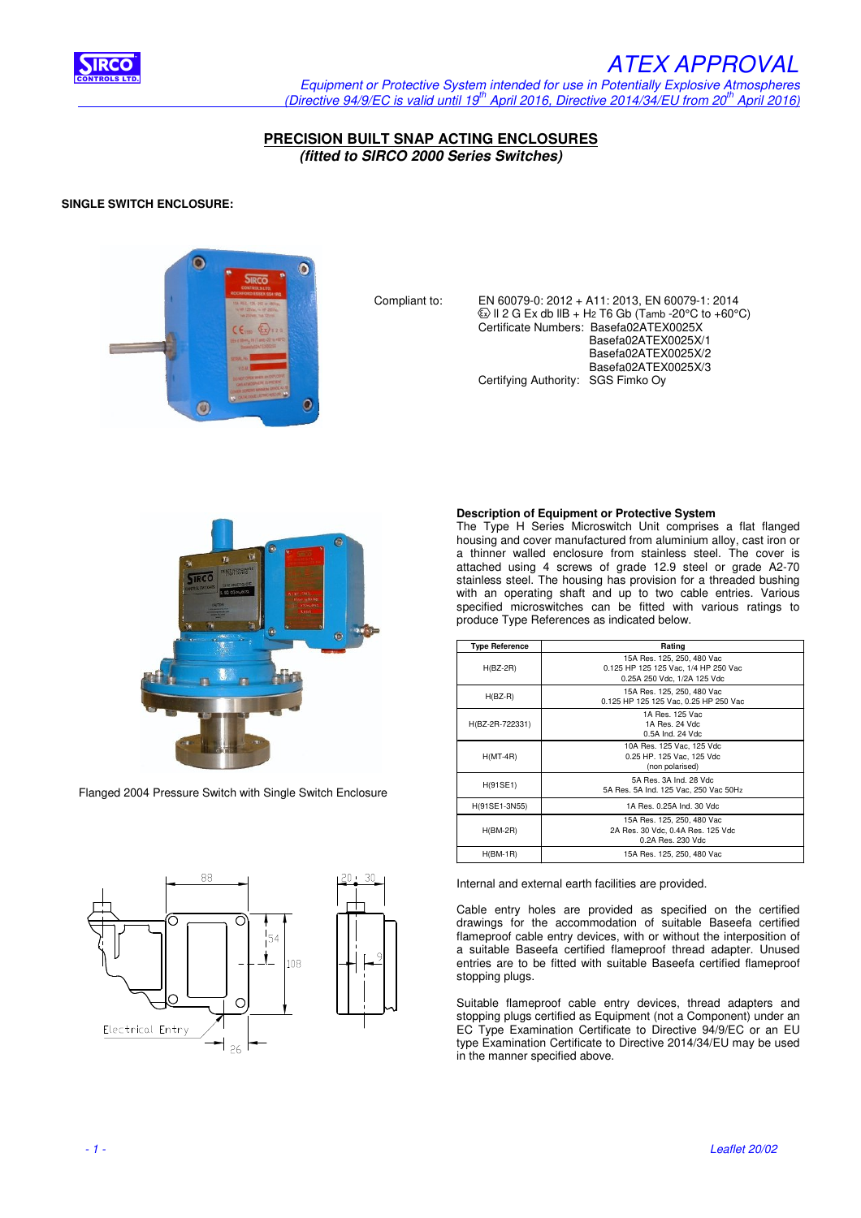

## IRCO ANNO 1999, IRCO ANNO 1999, IRCO ANNO 1999, IRCO ANNO 1999, IRCO ANNO 1999, IRCO ANNO 1999, IRCO ANNO 199

 Equipment or Protective System intended for use in Potentially Explosive Atmospheres (Directive 94/9/EC is valid until 19<sup>th</sup> April 2016, Directive 2014/34/EU from 20<sup>th</sup> April 2016)

**PRECISION BUILT SNAP ACTING ENCLOSURES (fitted to SIRCO 2000 Series Switches)** 

## **SINGLE SWITCH ENCLOSURE:**



 Compliant to: EN 60079-0: 2012 + A11: 2013, EN 60079-1: 2014  $\overline{\textcircled{\textcirc}}$  II 2 G Ex db IIB + H2 T6 Gb (Tamb -20 $\textcirc$ C to +60 $\textcirc$ C) Certificate Numbers: Basefa02ATEX0025X Basefa02ATEX0025X/1 Basefa02ATEX0025X/2 Basefa02ATEX0025X/3 Certifying Authority: SGS Fimko Oy



Flanged 2004 Pressure Switch with Single Switch Enclosure



## **Description of Equipment or Protective System**

The Type H Series Microswitch Unit comprises a flat flanged housing and cover manufactured from aluminium alloy, cast iron or a thinner walled enclosure from stainless steel. The cover is attached using 4 screws of grade 12.9 steel or grade A2-70 stainless steel. The housing has provision for a threaded bushing with an operating shaft and up to two cable entries. Various specified microswitches can be fitted with various ratings to produce Type References as indicated below.

| <b>Type Reference</b> | Rating                                                                                            |
|-----------------------|---------------------------------------------------------------------------------------------------|
| $H(BZ-2R)$            | 15A Res. 125, 250, 480 Vac<br>0.125 HP 125 125 Vac, 1/4 HP 250 Vac<br>0.25A 250 Vdc, 1/2A 125 Vdc |
| $H(BZ-R)$             | 15A Res. 125, 250, 480 Vac<br>0.125 HP 125 125 Vac, 0.25 HP 250 Vac                               |
| H(BZ-2R-722331)       | 1A Res. 125 Vac<br>1A Res. 24 Vdc.<br>0.5A Ind. 24 Vdc.                                           |
| $H(MT-4R)$            | 10A Res. 125 Vac. 125 Vdc<br>0.25 HP. 125 Vac, 125 Vdc<br>(non polarised)                         |
| H(91SE1)              | 5A Res. 3A Ind. 28 Vdc.<br>5A Res. 5A Ind. 125 Vac, 250 Vac 50Hz                                  |
| H(91SE1-3N55)         | 1A Res. 0.25A Ind. 30 Vdc                                                                         |
| $H(BM-2R)$            | 15A Res. 125, 250, 480 Vac<br>2A Res. 30 Vdc, 0.4A Res. 125 Vdc<br>0.2A Res. 230 Vdc              |
| $H(BM-1R)$            | 15A Res. 125, 250, 480 Vac                                                                        |

Internal and external earth facilities are provided.

Cable entry holes are provided as specified on the certified drawings for the accommodation of suitable Baseefa certified flameproof cable entry devices, with or without the interposition of a suitable Baseefa certified flameproof thread adapter. Unused entries are to be fitted with suitable Baseefa certified flameproof stopping plugs.

Suitable flameproof cable entry devices, thread adapters and stopping plugs certified as Equipment (not a Component) under an EC Type Examination Certificate to Directive 94/9/EC or an EU type Examination Certificate to Directive 2014/34/EU may be used in the manner specified above.